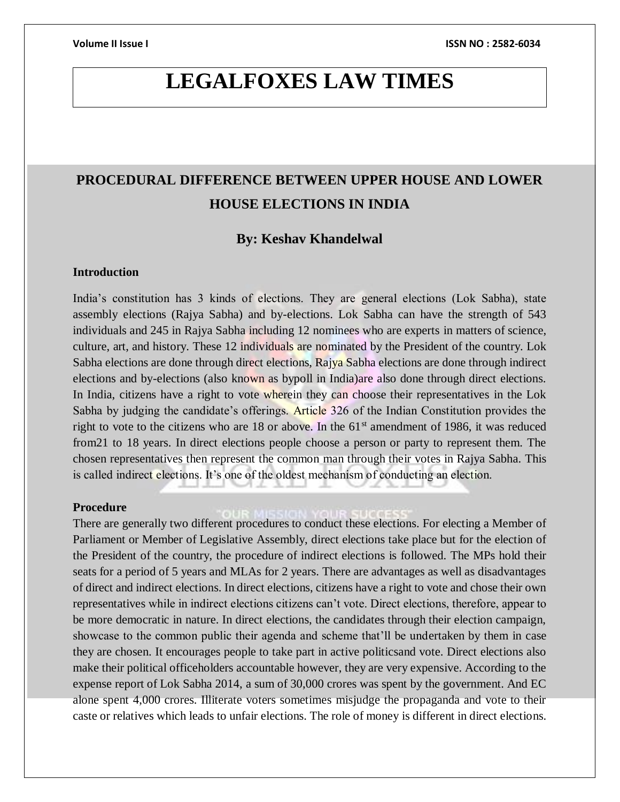# **LEGALFOXES LAW TIMES**

## **PROCEDURAL DIFFERENCE BETWEEN UPPER HOUSE AND LOWER HOUSE ELECTIONS IN INDIA**

## **By: Keshav Khandelwal**

## **Introduction**

India's constitution has 3 kinds of elections. They are general elections (Lok Sabha), state assembly elections (Rajya Sabha) and by-elections. Lok Sabha can have the strength of 543 individuals and 245 in Rajya Sabha including 12 nominees who are experts in matters of science, culture, art, and history. These 12 individuals are nominated by the President of the country. Lok Sabha elections are done through direct elections, Rajya Sabha elections are done through indirect elections and by-elections (also known as bypoll in India)are also done through direct elections. In India, citizens have a right to vote wherein they can choose their representatives in the Lok Sabha by judging the candidate's offerings. Article 326 of the Indian Constitution provides the right to vote to the citizens who are 18 or above. In the  $61<sup>st</sup>$  amendment of 1986, it was reduced from21 to 18 years. In direct elections people choose a person or party to represent them. The chosen representatives then represent the common man through their votes in Rajya Sabha. This is called indirect elections. It's one of the oldest mechanism of conducting an election.

#### **Procedure**

There are generally two different procedures to conduct these elections. For electing a Member of Parliament or Member of Legislative Assembly, direct elections take place but for the election of the President of the country, the procedure of indirect elections is followed. The MPs hold their seats for a period of 5 years and MLAs for 2 years. There are advantages as well as disadvantages of direct and indirect elections. In direct elections, citizens have a right to vote and chose their own representatives while in indirect elections citizens can't vote. Direct elections, therefore, appear to be more democratic in nature. In direct elections, the candidates through their election campaign, showcase to the common public their agenda and scheme that'll be undertaken by them in case they are chosen. It encourages people to take part in active politicsand vote. Direct elections also make their political officeholders accountable however, they are very expensive. According to the expense report of Lok Sabha 2014, a sum of 30,000 crores was spent by the government. And EC alone spent 4,000 crores. Illiterate voters sometimes misjudge the propaganda and vote to their caste or relatives which leads to unfair elections. The role of money is different in direct elections.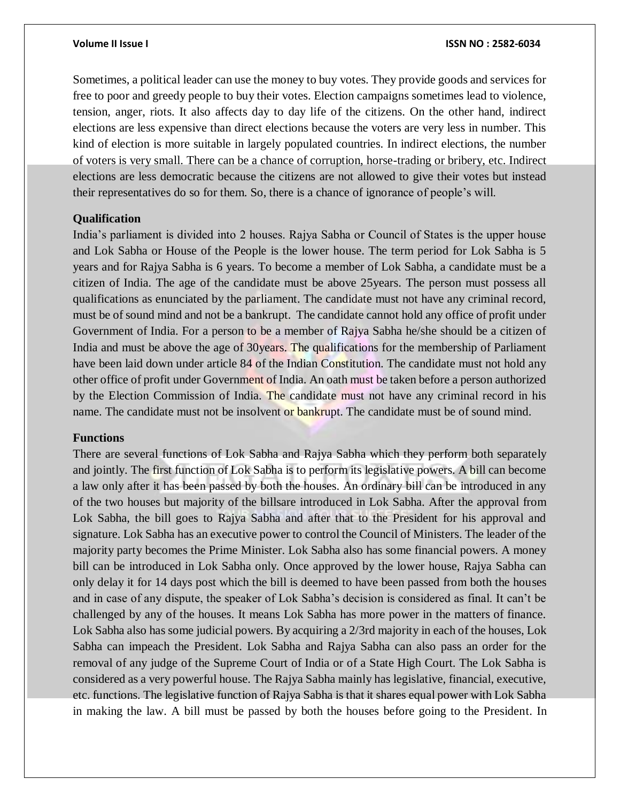Sometimes, a political leader can use the money to buy votes. They provide goods and services for free to poor and greedy people to buy their votes. Election campaigns sometimes lead to violence, tension, anger, riots. It also affects day to day life of the citizens. On the other hand, indirect elections are less expensive than direct elections because the voters are very less in number. This kind of election is more suitable in largely populated countries. In indirect elections, the number of voters is very small. There can be a chance of corruption, horse-trading or bribery, etc. Indirect elections are less democratic because the citizens are not allowed to give their votes but instead their representatives do so for them. So, there is a chance of ignorance of people's will.

#### **Qualification**

India's parliament is divided into 2 houses. Rajya Sabha or Council of States is the upper house and Lok Sabha or House of the People is the lower house. The term period for Lok Sabha is 5 years and for Rajya Sabha is 6 years. To become a member of Lok Sabha, a candidate must be a citizen of India. The age of the candidate must be above 25years. The person must possess all qualifications as enunciated by the parliament. The candidate must not have any criminal record, must be of sound mind and not be a bankrupt. The candidate cannot hold any office of profit under Government of India. For a person to be a member of Rajya Sabha he/she should be a citizen of India and must be above the age of 30years. The qualifications for the membership of Parliament have been laid down under article 84 of the Indian Constitution. The candidate must not hold any other office of profit under Government of India. An oath must be taken before a person authorized by the Election Commission of India. The candidate must not have any criminal record in his name. The candidate must not be insolvent or bankrupt. The candidate must be of sound mind.

### **Functions**

There are several functions of Lok Sabha and Rajya Sabha which they perform both separately and jointly. The first function of Lok Sabha is to perform its legislative powers. A bill can become a law only after it has been passed by both the houses. An ordinary bill can be introduced in any of the two houses but majority of the billsare introduced in Lok Sabha. After the approval from Lok Sabha, the bill goes to Rajya Sabha and after that to the President for his approval and signature. Lok Sabha has an executive power to control the Council of Ministers. The leader of the majority party becomes the Prime Minister. Lok Sabha also has some financial powers. A money bill can be introduced in Lok Sabha only. Once approved by the lower house, Rajya Sabha can only delay it for 14 days post which the bill is deemed to have been passed from both the houses and in case of any dispute, the speaker of Lok Sabha's decision is considered as final. It can't be challenged by any of the houses. It means Lok Sabha has more power in the matters of finance. Lok Sabha also has some judicial powers. By acquiring a 2/3rd majority in each of the houses, Lok Sabha can impeach the President. Lok Sabha and Rajya Sabha can also pass an order for the removal of any judge of the Supreme Court of India or of a State High Court. The Lok Sabha is considered as a very powerful house. The Rajya Sabha mainly has legislative, financial, executive, etc. functions. The legislative function of Rajya Sabha is that it shares equal power with Lok Sabha in making the law. A bill must be passed by both the houses before going to the President. In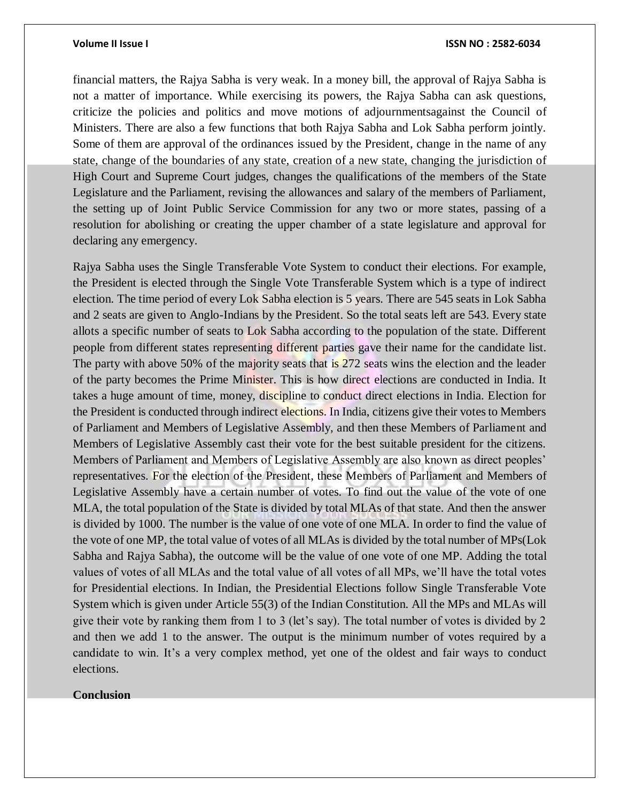#### **Volume II Issue I ISSN NO : 2582-6034**

financial matters, the Rajya Sabha is very weak. In a money bill, the approval of Rajya Sabha is not a matter of importance. While exercising its powers, the Rajya Sabha can ask questions, criticize the policies and politics and move motions of adjournmentsagainst the Council of Ministers. There are also a few functions that both Rajya Sabha and Lok Sabha perform jointly. Some of them are approval of the ordinances issued by the President, change in the name of any state, change of the boundaries of any state, creation of a new state, changing the jurisdiction of High Court and Supreme Court judges, changes the qualifications of the members of the State Legislature and the Parliament, revising the allowances and salary of the members of Parliament, the setting up of Joint Public Service Commission for any two or more states, passing of a resolution for abolishing or creating the upper chamber of a state legislature and approval for declaring any emergency.

Rajya Sabha uses the Single Transferable Vote System to conduct their elections. For example, the President is elected through the Single Vote Transferable System which is a type of indirect election. The time period of every Lok Sabha election is 5 years. There are 545 seats in Lok Sabha and 2 seats are given to Anglo-Indians by the President. So the total seats left are 543. Every state allots a specific number of seats to Lok Sabha according to the population of the state. Different people from different states representing different parties gave their name for the candidate list. The party with above 50% of the majority seats that is 272 seats wins the election and the leader of the party becomes the Prime Minister. This is how direct elections are conducted in India. It takes a huge amount of time, money, discipline to conduct direct elections in India. Election for the President is conducted through indirect elections. In India, citizens give their votes to Members of Parliament and Members of Legislative Assembly, and then these Members of Parliament and Members of Legislative Assembly cast their vote for the best suitable president for the citizens. Members of Parliament and Members of Legislative Assembly are also known as direct peoples' representatives. For the election of the President, these Members of Parliament and Members of Legislative Assembly have a certain number of votes. To find out the value of the vote of one MLA, the total population of the State is divided by total MLAs of that state. And then the answer is divided by 1000. The number is the value of one vote of one MLA. In order to find the value of the vote of one MP, the total value of votes of all MLAs is divided by the total number of MPs(Lok Sabha and Rajya Sabha), the outcome will be the value of one vote of one MP. Adding the total values of votes of all MLAs and the total value of all votes of all MPs, we'll have the total votes for Presidential elections. In Indian, the Presidential Elections follow Single Transferable Vote System which is given under Article 55(3) of the Indian Constitution. All the MPs and MLAs will give their vote by ranking them from 1 to 3 (let's say). The total number of votes is divided by 2 and then we add 1 to the answer. The output is the minimum number of votes required by a candidate to win. It's a very complex method, yet one of the oldest and fair ways to conduct elections.

#### **Conclusion**